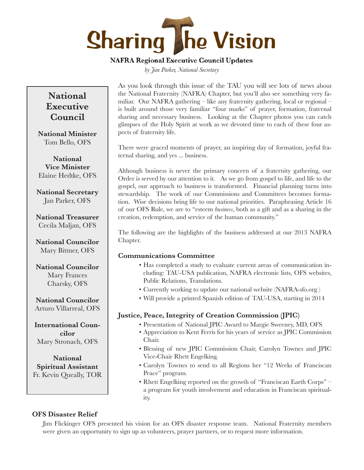# **Sharing The Vision**

# **NAFRA Regional Executive Council Updates**

*by Jan Parker, National Secretary*

# **National Executive Council**

**National Minister** Tom Bello, OFS

**National Vice Minister** Elaine Hedtke, OFS

**National Secretary** Jan Parker, OFS

**National Treasurer** Cecila Maljan, OFS

**National Councilor** Mary Bittner, OFS

**National Councilor** Mary Frances Charsky, OFS

**National Councilor** Arturo Villarreal, OFS

**International Councilor** Mary Stronach, OFS

**National Spiritual Assistant** Fr. Kevin Queally, TOR As you look through this issue of the TAU you will see lots of news about the National Fraternity (NAFRA) Chapter, but you'll also see something very familiar. Our NAFRA gathering – like any fraternity gathering, local or regional – is built around those very familiar "four marks" of prayer, formation, fraternal sharing and necessary business. Looking at the Chapter photos you can catch glimpses of the Holy Spirit at work as we devoted time to each of these four aspects of fraternity life.

There were graced moments of prayer, an inspiring day of formation, joyful fraternal sharing, and yes ... business.

Although business is never the primary concern of a fraternity gathering, our Order is served by our attention to it. As we go from gospel to life, and life to the gospel, our approach to business is transformed. Financial planning turns into stewardship. The work of our Commissions and Committees becomes formation. Wise decisions bring life to our national priorities. Paraphrasing Article 16 of our OFS Rule, we are to "esteem *business*, both as a gift and as a sharing in the creation, redemption, and service of the human community."

The following are the highlights of the business addressed at our 2013 NAFRA Chapter.

# **Communications Committee**

- Has completed a study to evaluate current areas of communication including: TAU-USA publication, NAFRA electronic lists, OFS websites, Public Relations, Translations.
- Currently working to update our national website (NAFRA-sfo.org )
- Will provide a printed Spanish edition of TAU-USA, starting in 2014

# **Justice, Peace, Integrity of Creation Commission (JPIC)**

- Presentation of National JPIC Award to Margie Sweeney, MD, OFS
- Appreciation to Kent Ferris for his years of service as JPIC Commission Chair.
- Blessing of new JPIC Commission Chair, Carolyn Townes and JPIC Vice-Chair Rhett Engelking.
- Carolyn Townes to send to all Regions her "12 Weeks of Franciscan Peace" program.
- Rhett Engelking reported on the growth of "Franciscan Earth Corps" a program for youth involvement and education in Franciscan spirituality.

# **OFS Disaster Relief**

Jim Flickinger OFS presented his vision for an OFS disaster response team. National Fraternity members were given an opportunity to sign up as volunteers, prayer partners, or to request more information.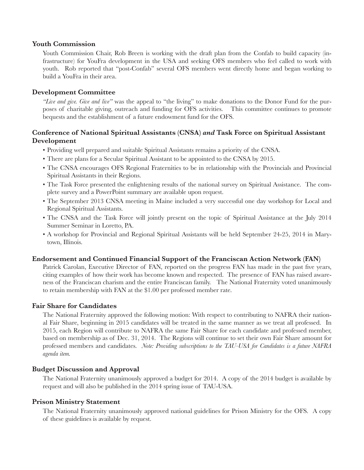#### **Youth Commission**

Youth Commission Chair, Rob Breen is working with the draft plan from the Confab to build capacity (infrastructure) for YouFra development in the USA and seeking OFS members who feel called to work with youth. Rob reported that "post-Confab" several OFS members went directly home and began working to build a YouFra in their area.

## **Development Committee**

*"Live and give. Give and live"* was the appeal to "the living" to make donations to the Donor Fund for the purposes of charitable giving, outreach and funding for OFS activities. This committee continues to promote bequests and the establishment of a future endowment fund for the OFS.

## **Conference of National Spiritual Assistants (CNSA)** *and* **Task Force on Spiritual Assistant Development**

- Providing well prepared and suitable Spiritual Assistants remains a priority of the CNSA.
- There are plans for a Secular Spiritual Assistant to be appointed to the CNSA by 2015.
- The CNSA encourages OFS Regional Fraternities to be in relationship with the Provincials and Provincial Spiritual Assistants in their Regions.
- The Task Force presented the enlightening results of the national survey on Spiritual Assistance. The complete survey and a PowerPoint summary are available upon request.
- The September 2013 CNSA meeting in Maine included a very successful one day workshop for Local and Regional Spiritual Assistants.
- The CNSA and the Task Force will jointly present on the topic of Spiritual Assistance at the July 2014 Summer Seminar in Loretto, PA.
- A workshop for Provincial and Regional Spiritual Assistants will be held September 24-25, 2014 in Marytown, Illinois.

#### **Endorsement and Continued Financial Support of the Franciscan Action Network (FAN)**

Patrick Carolan, Executive Director of FAN, reported on the progress FAN has made in the past five years, citing examples of how their work has become known and respected. The presence of FAN has raised awareness of the Franciscan charism and the entire Franciscan family. The National Fraternity voted unanimously to retain membership with FAN at the \$1.00 per professed member rate.

#### **Fair Share for Candidates**

The National Fraternity approved the following motion: With respect to contributing to NAFRA their national Fair Share, beginning in 2015 candidates will be treated in the same manner as we treat all professed. In 2015, each Region will contribute to NAFRA the same Fair Share for each candidate and professed member, based on membership as of Dec. 31, 2014. The Regions will continue to set their own Fair Share amount for professed members and candidates. *Note: Providing subscriptions to the TAU-USA for Candidates is a future NAFRA agenda item.*

## **Budget Discussion and Approval**

The National Fraternity unanimously approved a budget for 2014. A copy of the 2014 budget is available by request and will also be published in the 2014 spring issue of TAU-USA.

#### **Prison Ministry Statement**

The National Fraternity unanimously approved national guidelines for Prison Ministry for the OFS. A copy of these guidelines is available by request.